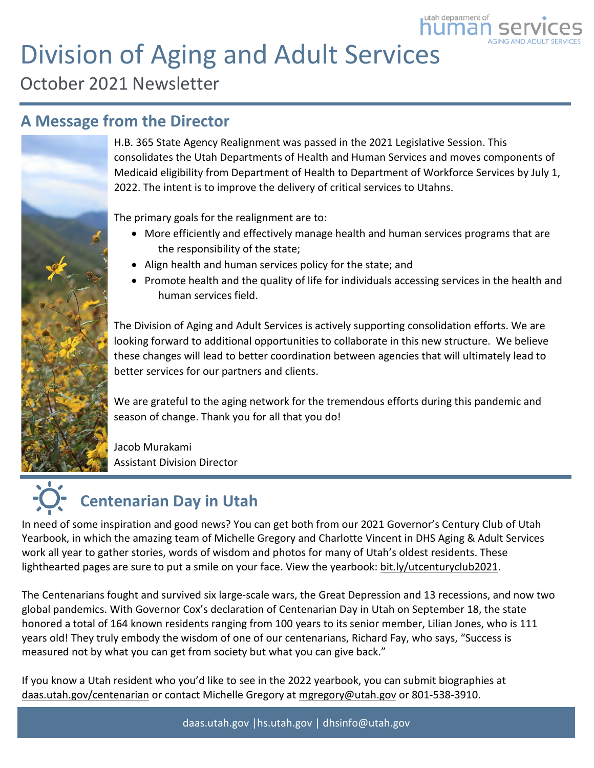# Division of Aging and Adult Services

October 2021 Newsletter

### **A Message from the Director**



H.B. 365 State Agency Realignment was passed in the 2021 Legislative Session. This consolidates the Utah Departments of Health and Human Services and moves components of Medicaid eligibility from Department of Health to Department of Workforce Services by July 1, 2022. The intent is to improve the delivery of critical services to Utahns.

utah department of umai

The primary goals for the realignment are to:

- More efficiently and effectively manage health and human services programs that are the responsibility of the state;
- Align health and human services policy for the state; and
- Promote health and the quality of life for individuals accessing services in the health and human services field.

The Division of Aging and Adult Services is actively supporting consolidation efforts. We are looking forward to additional opportunities to collaborate in this new structure. We believe these changes will lead to better coordination between agencies that will ultimately lead to better services for our partners and clients.

We are grateful to the aging network for the tremendous efforts during this pandemic and season of change. Thank you for all that you do!

Jacob Murakami Assistant Division Director

# **Centenarian Day in Utah**

In need of some inspiration and good news? You can get both from our 2021 Governor's Century Club of Utah Yearbook, in which the amazing team of Michelle Gregory and Charlotte Vincent in DHS Aging & Adult Services work all year to gather stories, words of wisdom and photos for many of Utah's oldest residents. These lighthearted pages are sure to put a smile on your face. View the yearbook: [bit.ly/utcenturyclub2021.](https://bit.ly/utcenturyclub2021)

The Centenarians fought and survived six large-scale wars, the Great Depression and 13 recessions, and now two global pandemics. With Governor Cox's declaration of Centenarian Day in Utah on September 18, the state honored a total of 164 known residents ranging from 100 years to its senior member, Lilian Jones, who is 111 years old! They truly embody the wisdom of one of our centenarians, Richard Fay, who says, "Success is measured not by what you can get from society but what you can give back."

If you know a Utah resident who you'd like to see in the 2022 yearbook, you can submit biographies a[t](https://app.k6222f.com/click?ld=O2OqFFBFmo%2FsapUBKc%2Bz6jqwvD%2Faiiu4sPEAskLMmh1OpSovsb6VdSIbVwEuM51%2BXuzKDWI5y44950WEprT8bg%3D%3DE) [daas.utah.gov/centenarian](https://app.k6222f.com/click?ld=O2OqFFBFmo%2FsapUBKc%2Bz6jqwvD%2Faiiu4sPEAskLMmh1OpSovsb6VdSIbVwEuM51%2BXuzKDWI5y44950WEprT8bg%3D%3DE) or contact Michelle Gregory at [mgregory@utah.gov](mailto:mgregory@utah.gov) or 801-538-3910.

daas.utah.gov |hs.utah.gov | dhsinfo@utah.gov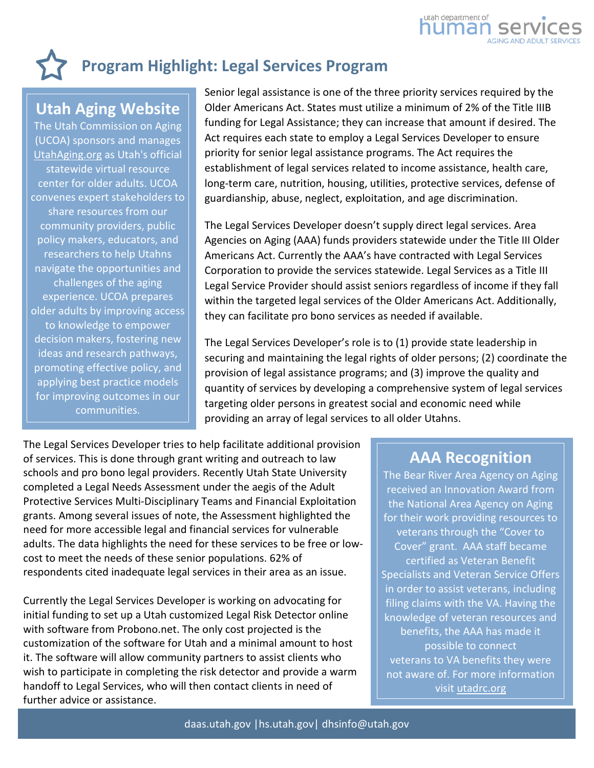

## **Program Highlight: Legal Services Program**

### **Utah Aging Website**

The Utah Commission on Aging (UCOA) sponsors and manages [UtahAging.org](https://utahaging.org/) as Utah's official statewide virtual resource center for older adults. UCOA convenes expert stakeholders to share resources from our community providers, public policy makers, educators, and researchers to help Utahns navigate the opportunities and challenges of the aging experience. UCOA prepares older adults by improving access to knowledge to empower decision makers, fostering new ideas and research pathways, promoting effective policy, and applying best practice models for improving outcomes in our communities.

Senior legal assistance is one of the three priority services required by the Older Americans Act. States must utilize a minimum of 2% of the Title IIIB funding for Legal Assistance; they can increase that amount if desired. The Act requires each state to employ a Legal Services Developer to ensure priority for senior legal assistance programs. The Act requires the establishment of legal services related to income assistance, health care, long-term care, nutrition, housing, utilities, protective services, defense of guardianship, abuse, neglect, exploitation, and age discrimination.

The Legal Services Developer doesn't supply direct legal services. Area Agencies on Aging (AAA) funds providers statewide under the Title III Older Americans Act. Currently the AAA's have contracted with Legal Services Corporation to provide the services statewide. Legal Services as a Title III Legal Service Provider should assist seniors regardless of income if they fall within the targeted legal services of the Older Americans Act. Additionally, they can facilitate pro bono services as needed if available.

The Legal Services Developer's role is to (1) provide state leadership in securing and maintaining the legal rights of older persons; (2) coordinate the provision of legal assistance programs; and (3) improve the quality and quantity of services by developing a comprehensive system of legal services targeting older persons in greatest social and economic need while providing an array of legal services to all older Utahns.

The Legal Services Developer tries to help facilitate additional provision of services. This is done through grant writing and outreach to law schools and pro bono legal providers. Recently Utah State University completed a Legal Needs Assessment under the aegis of the Adult Protective Services Multi-Disciplinary Teams and Financial Exploitation grants. Among several issues of note, the Assessment highlighted the need for more accessible legal and financial services for vulnerable adults. The data highlights the need for these services to be free or lowcost to meet the needs of these senior populations. 62% of respondents cited inadequate legal services in their area as an issue.

Currently the Legal Services Developer is working on advocating for initial funding to set up a Utah customized Legal Risk Detector online with software from Probono.net. The only cost projected is the customization of the software for Utah and a minimal amount to host it. The software will allow community partners to assist clients who wish to participate in completing the risk detector and provide a warm handoff to Legal Services, who will then contact clients in need of further advice or assistance.

#### **AAA Recognition**

The Bear River Area Agency on Aging received an Innovation Award from the National Area Agency on Aging for their work providing resources to veterans through the "Cover to Cover" grant. AAA staff became certified as Veteran Benefit Specialists and Veteran Service Offers in order to assist veterans, including filing claims with the VA. Having the knowledge of veteran resources and benefits, the AAA has made it possible to connect veterans to VA benefits they were not aware of. For more information visit [utadrc.org](https://www.utadrc.org/)